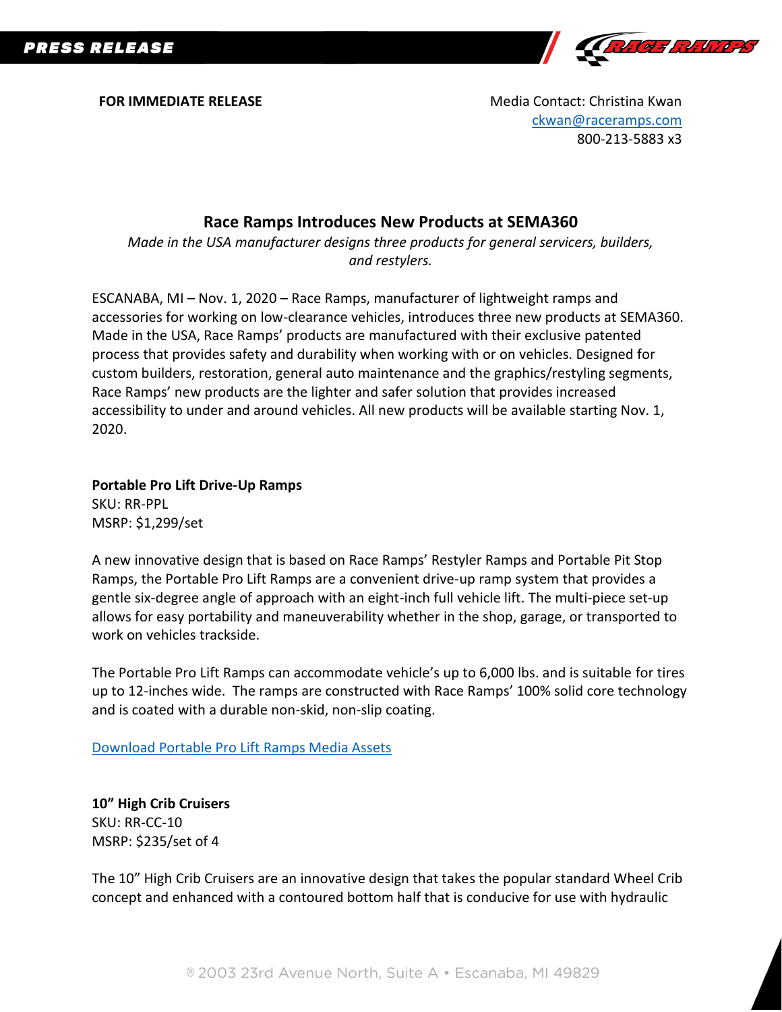**PRESS RELEASE** 



**FOR IMMEDIATE RELEASE** Media Contact: Christina Kwan [ckwan@raceramps.com](mailto:ckwan@raceramps.com) 800-213-5883 x3

## **Race Ramps Introduces New Products at SEMA360**

*Made in the USA manufacturer designs three products for general servicers, builders, and restylers.*

ESCANABA, MI – Nov. 1, 2020 – Race Ramps, manufacturer of lightweight ramps and accessories for working on low-clearance vehicles, introduces three new products at SEMA360. Made in the USA, Race Ramps' products are manufactured with their exclusive patented process that provides safety and durability when working with or on vehicles. Designed for custom builders, restoration, general auto maintenance and the graphics/restyling segments, Race Ramps' new products are the lighter and safer solution that provides increased accessibility to under and around vehicles. All new products will be available starting Nov. 1, 2020.

**Portable Pro Lift Drive-Up Ramps** SKU: RR-PPL MSRP: \$1,299/set

A new innovative design that is based on Race Ramps' Restyler Ramps and Portable Pit Stop Ramps, the Portable Pro Lift Ramps are a convenient drive-up ramp system that provides a gentle six-degree angle of approach with an eight-inch full vehicle lift. The multi-piece set-up allows for easy portability and maneuverability whether in the shop, garage, or transported to work on vehicles trackside.

The Portable Pro Lift Ramps can accommodate vehicle's up to 6,000 lbs. and is suitable for tires up to 12-inches wide. The ramps are constructed with Race Ramps' 100% solid core technology and is coated with a durable non-skid, non-slip coating.

[Download Portable Pro Lift Ramps Media Assets](https://www.dropbox.com/sh/frpmviuler76hoo/AADk0Ggvl6P_led2b9ivRry_a?dl=0)

**10" High Crib Cruisers** SKU: RR-CC-10 MSRP: \$235/set of 4

The 10" High Crib Cruisers are an innovative design that takes the popular standard Wheel Crib concept and enhanced with a contoured bottom half that is conducive for use with hydraulic